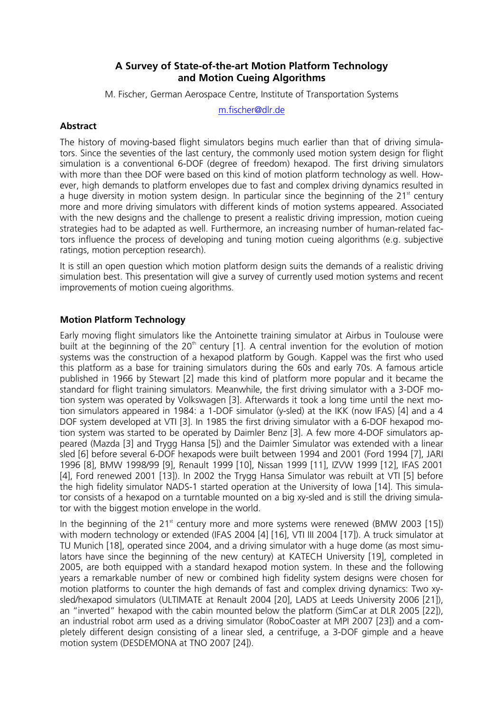# **A Survey of State-of-the-art Motion Platform Technology and Motion Cueing Algorithms**

M. Fischer, German Aerospace Centre, Institute of Transportation Systems

[m.fischer@dlr.de](mailto:m.fischer@dlr.de)

### **Abstract**

The history of moving-based flight simulators begins much earlier than that of driving simulators. Since the seventies of the last century, the commonly used motion system design for flight simulation is a conventional 6-DOF (degree of freedom) hexapod. The first driving simulators with more than thee DOF were based on this kind of motion platform technology as well. However, high demands to platform envelopes due to fast and complex driving dynamics resulted in a huge diversity in motion system design. In particular since the beginning of the  $21<sup>st</sup>$  century more and more driving simulators with different kinds of motion systems appeared. Associated with the new designs and the challenge to present a realistic driving impression, motion cueing strategies had to be adapted as well. Furthermore, an increasing number of human-related factors influence the process of developing and tuning motion cueing algorithms (e.g. subjective ratings, motion perception research).

It is still an open question which motion platform design suits the demands of a realistic driving simulation best. This presentation will give a survey of currently used motion systems and recent improvements of motion cueing algorithms.

## **Motion Platform Technology**

Early moving flight simulators like the Antoinette training simulator at Airbus in Toulouse were built at the beginning of the  $20<sup>th</sup>$  century [1]. A central invention for the evolution of motion systems was the construction of a hexapod platform by Gough. Kappel was the first who used this platform as a base for training simulators during the 60s and early 70s. A famous article published in 1966 by Stewart [2] made this kind of platform more popular and it became the standard for flight training simulators. Meanwhile, the first driving simulator with a 3-DOF motion system was operated by Volkswagen [3]. Afterwards it took a long time until the next motion simulators appeared in 1984: a 1-DOF simulator (y-sled) at the IKK (now IFAS) [4] and a 4 DOF system developed at VTI [3]. In 1985 the first driving simulator with a 6-DOF hexapod motion system was started to be operated by Daimler Benz [3]. A few more 4-DOF simulators appeared (Mazda [3] and Trygg Hansa [5]) and the Daimler Simulator was extended with a linear sled [6] before several 6-DOF hexapods were built between 1994 and 2001 (Ford 1994 [7], JARI 1996 [8], BMW 1998/99 [9], Renault 1999 [10], Nissan 1999 [11], IZVW 1999 [12], IFAS 2001 [4], Ford renewed 2001 [13]). In 2002 the Trygg Hansa Simulator was rebuilt at VTI [5] before the high fidelity simulator NADS-1 started operation at the University of Iowa [14]. This simulator consists of a hexapod on a turntable mounted on a big xy-sled and is still the driving simulator with the biggest motion envelope in the world.

In the beginning of the  $21<sup>st</sup>$  century more and more systems were renewed (BMW 2003 [15]) with modern technology or extended (IFAS 2004 [4] [16], VTI III 2004 [17]). A truck simulator at TU Munich [18], operated since 2004, and a driving simulator with a huge dome (as most simulators have since the beginning of the new century) at KATECH University [19], completed in 2005, are both equipped with a standard hexapod motion system. In these and the following years a remarkable number of new or combined high fidelity system designs were chosen for motion platforms to counter the high demands of fast and complex driving dynamics: Two xysled/hexapod simulators (ULTIMATE at Renault 2004 [20], LADS at Leeds University 2006 [21]), an "inverted" hexapod with the cabin mounted below the platform (SimCar at DLR 2005 [22]), an industrial robot arm used as a driving simulator (RoboCoaster at MPI 2007 [23]) and a completely different design consisting of a linear sled, a centrifuge, a 3-DOF gimple and a heave motion system (DESDEMONA at TNO 2007 [24]).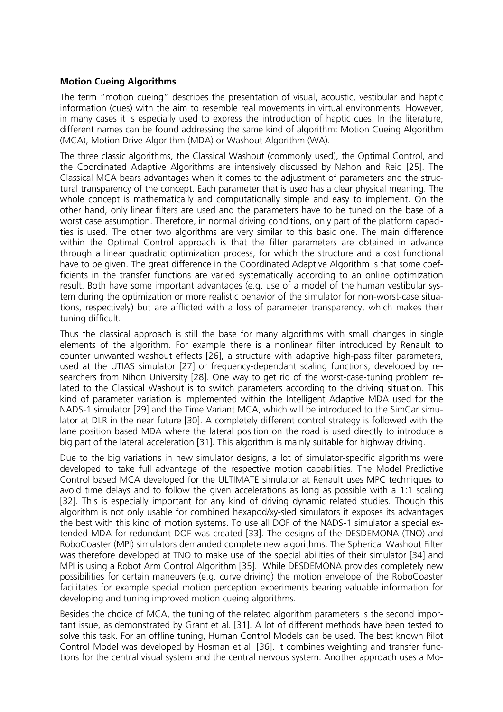#### **Motion Cueing Algorithms**

The term "motion cueing" describes the presentation of visual, acoustic, vestibular and haptic information (cues) with the aim to resemble real movements in virtual environments. However, in many cases it is especially used to express the introduction of haptic cues. In the literature, different names can be found addressing the same kind of algorithm: Motion Cueing Algorithm (MCA), Motion Drive Algorithm (MDA) or Washout Algorithm (WA).

The three classic algorithms, the Classical Washout (commonly used), the Optimal Control, and the Coordinated Adaptive Algorithms are intensively discussed by Nahon and Reid [25]. The Classical MCA bears advantages when it comes to the adjustment of parameters and the structural transparency of the concept. Each parameter that is used has a clear physical meaning. The whole concept is mathematically and computationally simple and easy to implement. On the other hand, only linear filters are used and the parameters have to be tuned on the base of a worst case assumption. Therefore, in normal driving conditions, only part of the platform capacities is used. The other two algorithms are very similar to this basic one. The main difference within the Optimal Control approach is that the filter parameters are obtained in advance through a linear quadratic optimization process, for which the structure and a cost functional have to be given. The great difference in the Coordinated Adaptive Algorithm is that some coefficients in the transfer functions are varied systematically according to an online optimization result. Both have some important advantages (e.g. use of a model of the human vestibular system during the optimization or more realistic behavior of the simulator for non-worst-case situations, respectively) but are afflicted with a loss of parameter transparency, which makes their tuning difficult.

Thus the classical approach is still the base for many algorithms with small changes in single elements of the algorithm. For example there is a nonlinear filter introduced by Renault to counter unwanted washout effects [26], a structure with adaptive high-pass filter parameters, used at the UTIAS simulator [27] or frequency-dependant scaling functions, developed by researchers from Nihon University [28]. One way to get rid of the worst-case-tuning problem related to the Classical Washout is to switch parameters according to the driving situation. This kind of parameter variation is implemented within the Intelligent Adaptive MDA used for the NADS-1 simulator [29] and the Time Variant MCA, which will be introduced to the SimCar simulator at DLR in the near future [30]. A completely different control strategy is followed with the lane position based MDA where the lateral position on the road is used directly to introduce a big part of the lateral acceleration [31]. This algorithm is mainly suitable for highway driving.

Due to the big variations in new simulator designs, a lot of simulator-specific algorithms were developed to take full advantage of the respective motion capabilities. The Model Predictive Control based MCA developed for the ULTIMATE simulator at Renault uses MPC techniques to avoid time delays and to follow the given accelerations as long as possible with a 1:1 scaling [32]. This is especially important for any kind of driving dynamic related studies. Though this algorithm is not only usable for combined hexapod/xy-sled simulators it exposes its advantages the best with this kind of motion systems. To use all DOF of the NADS-1 simulator a special extended MDA for redundant DOF was created [33]. The designs of the DESDEMONA (TNO) and RoboCoaster (MPI) simulators demanded complete new algorithms. The Spherical Washout Filter was therefore developed at TNO to make use of the special abilities of their simulator [34] and MPI is using a Robot Arm Control Algorithm [35]. While DESDEMONA provides completely new possibilities for certain maneuvers (e.g. curve driving) the motion envelope of the RoboCoaster facilitates for example special motion perception experiments bearing valuable information for developing and tuning improved motion cueing algorithms.

Besides the choice of MCA, the tuning of the related algorithm parameters is the second important issue, as demonstrated by Grant et al. [31]. A lot of different methods have been tested to solve this task. For an offline tuning, Human Control Models can be used. The best known Pilot Control Model was developed by Hosman et al. [36]. It combines weighting and transfer functions for the central visual system and the central nervous system. Another approach uses a Mo-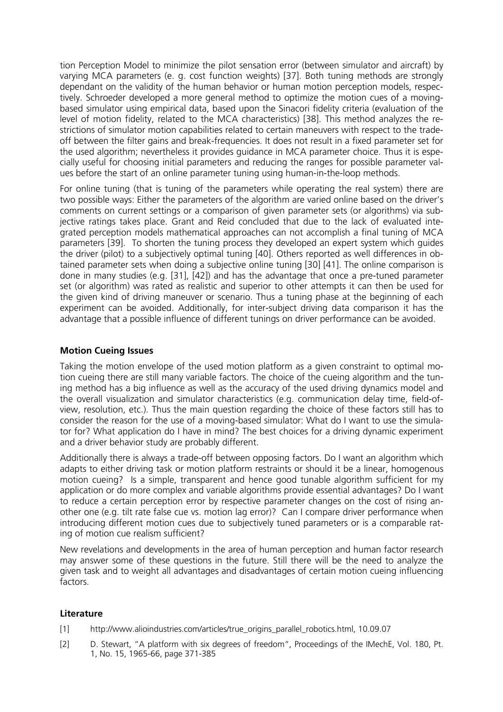tion Perception Model to minimize the pilot sensation error (between simulator and aircraft) by varying MCA parameters (e. g. cost function weights) [37]. Both tuning methods are strongly dependant on the validity of the human behavior or human motion perception models, respectively. Schroeder developed a more general method to optimize the motion cues of a movingbased simulator using empirical data, based upon the Sinacori fidelity criteria (evaluation of the level of motion fidelity, related to the MCA characteristics) [38]. This method analyzes the restrictions of simulator motion capabilities related to certain maneuvers with respect to the tradeoff between the filter gains and break-frequencies. It does not result in a fixed parameter set for the used algorithm; nevertheless it provides guidance in MCA parameter choice. Thus it is especially useful for choosing initial parameters and reducing the ranges for possible parameter values before the start of an online parameter tuning using human-in-the-loop methods.

For online tuning (that is tuning of the parameters while operating the real system) there are two possible ways: Either the parameters of the algorithm are varied online based on the driver's comments on current settings or a comparison of given parameter sets (or algorithms) via subjective ratings takes place. Grant and Reid concluded that due to the lack of evaluated integrated perception models mathematical approaches can not accomplish a final tuning of MCA parameters [39]. To shorten the tuning process they developed an expert system which guides the driver (pilot) to a subjectively optimal tuning [40]. Others reported as well differences in obtained parameter sets when doing a subjective online tuning [30] [41]. The online comparison is done in many studies (e.g. [31], [42]) and has the advantage that once a pre-tuned parameter set (or algorithm) was rated as realistic and superior to other attempts it can then be used for the given kind of driving maneuver or scenario. Thus a tuning phase at the beginning of each experiment can be avoided. Additionally, for inter-subject driving data comparison it has the advantage that a possible influence of different tunings on driver performance can be avoided.

## **Motion Cueing Issues**

Taking the motion envelope of the used motion platform as a given constraint to optimal motion cueing there are still many variable factors. The choice of the cueing algorithm and the tuning method has a big influence as well as the accuracy of the used driving dynamics model and the overall visualization and simulator characteristics (e.g. communication delay time, field-ofview, resolution, etc.). Thus the main question regarding the choice of these factors still has to consider the reason for the use of a moving-based simulator: What do I want to use the simulator for? What application do I have in mind? The best choices for a driving dynamic experiment and a driver behavior study are probably different.

Additionally there is always a trade-off between opposing factors. Do I want an algorithm which adapts to either driving task or motion platform restraints or should it be a linear, homogenous motion cueing? Is a simple, transparent and hence good tunable algorithm sufficient for my application or do more complex and variable algorithms provide essential advantages? Do I want to reduce a certain perception error by respective parameter changes on the cost of rising another one (e.g. tilt rate false cue vs. motion lag error)? Can I compare driver performance when introducing different motion cues due to subjectively tuned parameters or is a comparable rating of motion cue realism sufficient?

New revelations and developments in the area of human perception and human factor research may answer some of these questions in the future. Still there will be the need to analyze the given task and to weight all advantages and disadvantages of certain motion cueing influencing factors.

#### **Literature**

- [1] http://www.alioindustries.com/articles/true\_origins\_parallel\_robotics.html, 10.09.07
- [2] D. Stewart, "A platform with six degrees of freedom", Proceedings of the IMechE, Vol. 180, Pt. 1, No. 15, 1965-66, page 371-385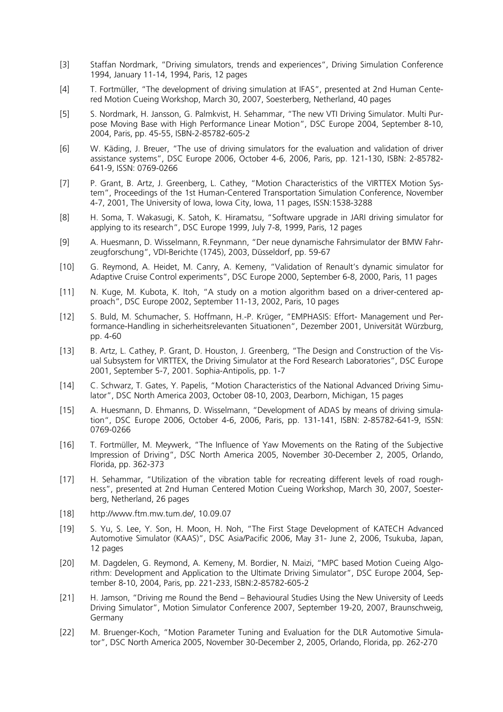- [3] Staffan Nordmark, "Driving simulators, trends and experiences", Driving Simulation Conference 1994, January 11-14, 1994, Paris, 12 pages
- [4] T. Fortmüller, "The development of driving simulation at IFAS", presented at 2nd Human Centered Motion Cueing Workshop, March 30, 2007, Soesterberg, Netherland, 40 pages
- [5] S. Nordmark, H. Jansson, G. Palmkvist, H. Sehammar, "The new VTI Driving Simulator. Multi Purpose Moving Base with High Performance Linear Motion", DSC Europe 2004, September 8-10, 2004, Paris, pp. 45-55, ISBN-2-85782-605-2
- [6] W. Käding, J. Breuer, "The use of driving simulators for the evaluation and validation of driver assistance systems", DSC Europe 2006, October 4-6, 2006, Paris, pp. 121-130, ISBN: 2-85782- 641-9, ISSN: 0769-0266
- [7] P. Grant, B. Artz, J. Greenberg, L. Cathey, "Motion Characteristics of the VIRTTEX Motion System", Proceedings of the 1st Human-Centered Transportation Simulation Conference, November 4-7, 2001, The University of Iowa, Iowa City, Iowa, 11 pages, ISSN:1538-3288
- [8] H. Soma, T. Wakasugi, K. Satoh, K. Hiramatsu, "Software upgrade in JARI driving simulator for applying to its research", DSC Europe 1999, July 7-8, 1999, Paris, 12 pages
- [9] A. Huesmann, D. Wisselmann, R.Feynmann, "Der neue dynamische Fahrsimulator der BMW Fahrzeugforschung", VDI-Berichte (1745), 2003, Düsseldorf, pp. 59-67
- [10] G. Reymond, A. Heidet, M. Canry, A. Kemeny, "Validation of Renault's dynamic simulator for Adaptive Cruise Control experiments", DSC Europe 2000, September 6-8, 2000, Paris, 11 pages
- [11] N. Kuge, M. Kubota, K. Itoh, "A study on a motion algorithm based on a driver-centered approach", DSC Europe 2002, September 11-13, 2002, Paris, 10 pages
- [12] S. Buld, M. Schumacher, S. Hoffmann, H.-P. Krüger, "EMPHASIS: Effort- Management und Performance-Handling in sicherheitsrelevanten Situationen", Dezember 2001, Universität Würzburg, pp. 4-60
- [13] B. Artz, L. Cathey, P. Grant, D. Houston, J. Greenberg, "The Design and Construction of the Visual Subsystem for VIRTTEX, the Driving Simulator at the Ford Research Laboratories", DSC Europe 2001, September 5-7, 2001. Sophia-Antipolis, pp. 1-7
- [14] C. Schwarz, T. Gates, Y. Papelis, "Motion Characteristics of the National Advanced Driving Simulator", DSC North America 2003, October 08-10, 2003, Dearborn, Michigan, 15 pages
- [15] A. Huesmann, D. Ehmanns, D. Wisselmann, "Development of ADAS by means of driving simulation", DSC Europe 2006, October 4-6, 2006, Paris, pp. 131-141, ISBN: 2-85782-641-9, ISSN: 0769-0266
- [16] T. Fortmüller, M. Meywerk, "The Influence of Yaw Movements on the Rating of the Subjective Impression of Driving", DSC North America 2005, November 30-December 2, 2005, Orlando, Florida, pp. 362-373
- [17] H. Sehammar, "Utilization of the vibration table for recreating different levels of road roughness", presented at 2nd Human Centered Motion Cueing Workshop, March 30, 2007, Soesterberg, Netherland, 26 pages
- [18] http://www.ftm.mw.tum.de/, 10.09.07
- [19] S. Yu, S. Lee, Y. Son, H. Moon, H. Noh, "The First Stage Development of KATECH Advanced Automotive Simulator (KAAS)", DSC Asia/Pacific 2006, May 31- June 2, 2006, Tsukuba, Japan, 12 pages
- [20] M. Dagdelen, G. Reymond, A. Kemeny, M. Bordier, N. Maizi, "MPC based Motion Cueing Algorithm: Development and Application to the Ultimate Driving Simulator", DSC Europe 2004, September 8-10, 2004, Paris, pp. 221-233, ISBN:2-85782-605-2
- [21] H. Jamson, "Driving me Round the Bend Behavioural Studies Using the New University of Leeds Driving Simulator", Motion Simulator Conference 2007, September 19-20, 2007, Braunschweig, Germany
- [22] M. Bruenger-Koch, "Motion Parameter Tuning and Evaluation for the DLR Automotive Simulator", DSC North America 2005, November 30-December 2, 2005, Orlando, Florida, pp. 262-270